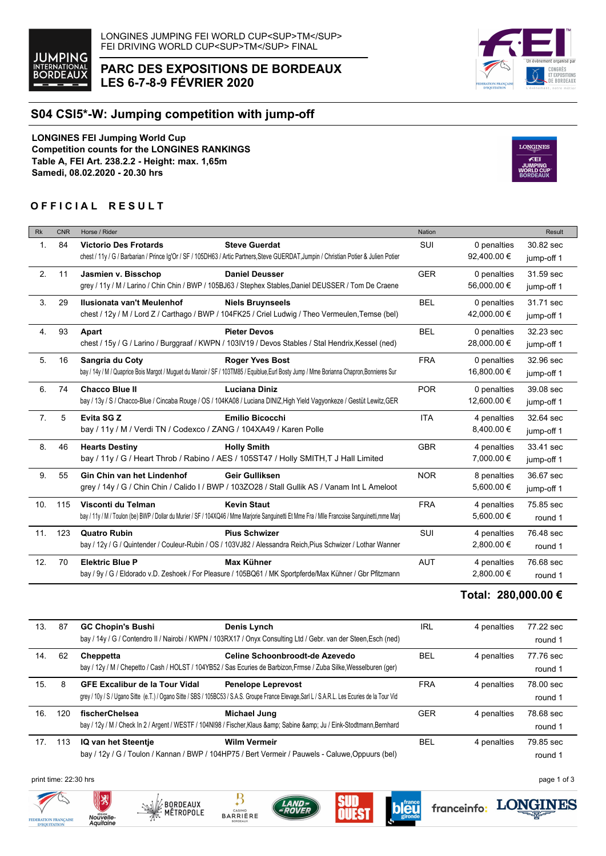





## **S04 CSI5\*-W: Jumping competition with jump-off**

**LONGINES FEI Jumping World Cup Competition counts for the LONGINES RANKINGS Table A, FEI Art. 238.2.2 - Height: max. 1,65m Samedi, 08.02.2020 - 20.30 hrs**



## **OFFICIAL RESULT**

| <b>Rk</b>       | <b>CNR</b> | Horse / Rider                                                                                                                                                                                | <b>Nation</b> |                            | Result                  |
|-----------------|------------|----------------------------------------------------------------------------------------------------------------------------------------------------------------------------------------------|---------------|----------------------------|-------------------------|
| 1.              | 84         | <b>Steve Guerdat</b><br><b>Victorio Des Frotards</b><br>chest / 11y / G / Barbarian / Prince Ig'Or / SF / 105DH63 / Artic Partners, Steve GUERDAT, Jumpin / Christian Potier & Julien Potier | SUI           | 0 penalties<br>92,400.00 € | 30.82 sec<br>jump-off 1 |
| 2.              | 11         | <b>Daniel Deusser</b><br>Jasmien v. Bisschop<br>grey / 11y / M / Larino / Chin Chin / BWP / 105BJ63 / Stephex Stables, Daniel DEUSSER / Tom De Craene                                        | <b>GER</b>    | 0 penalties<br>56,000.00 € | 31.59 sec<br>jump-off 1 |
| 3.              | 29         | <b>Niels Bruynseels</b><br>Ilusionata van't Meulenhof<br>chest / 12y / M / Lord Z / Carthago / BWP / 104FK25 / Criel Ludwig / Theo Vermeulen, Temse (bel)                                    | <b>BEL</b>    | 0 penalties<br>42,000.00 € | 31.71 sec<br>jump-off 1 |
| 4.              | 93         | <b>Pieter Devos</b><br>Apart<br>chest / 15y / G / Larino / Burggraaf / KWPN / 103IV19 / Devos Stables / Stal Hendrix, Kessel (ned)                                                           | <b>BEL</b>    | 0 penalties<br>28,000.00 € | 32.23 sec<br>jump-off 1 |
| 5 <sub>1</sub>  | 16         | <b>Roger Yves Bost</b><br>Sangria du Coty<br>bay / 14y / M / Quaprice Bois Margot / Muguet du Manoir / SF / 103TM85 / Equiblue, Eurl Bosty Jump / Mme Borianna Chapron, Bonnieres Sur        | <b>FRA</b>    | 0 penalties<br>16,800.00 € | 32.96 sec<br>jump-off 1 |
| 6.              | 74         | <b>Chacco Blue II</b><br>Luciana Diniz<br>bay / 13y / S / Chacco-Blue / Cincaba Rouge / OS / 104KA08 / Luciana DINIZ, High Yield Vagyonkeze / Gestüt Lewitz, GER                             | <b>POR</b>    | 0 penalties<br>12,600.00 € | 39.08 sec<br>jump-off 1 |
| 7 <sub>1</sub>  | 5          | Evita SG Z<br><b>Emilio Bicocchi</b><br>bay / 11y / M / Verdi TN / Codexco / ZANG / 104XA49 / Karen Polle                                                                                    | <b>ITA</b>    | 4 penalties<br>8,400.00 €  | 32.64 sec<br>jump-off 1 |
| 8.              | 46         | <b>Hearts Destiny</b><br><b>Holly Smith</b><br>bay / 11y / G / Heart Throb / Rabino / AES / 105ST47 / Holly SMITH, T J Hall Limited                                                          | <b>GBR</b>    | 4 penalties<br>7,000.00 €  | 33.41 sec<br>jump-off 1 |
| 9.              | 55         | Gin Chin van het Lindenhof<br>Geir Gulliksen<br>grey / 14y / G / Chin Chin / Calido I / BWP / 103ZO28 / Stall Gullik AS / Vanam Int L Ameloot                                                | <b>NOR</b>    | 8 penalties<br>5,600.00 €  | 36.67 sec<br>jump-off 1 |
| 10 <sub>1</sub> | 115        | Visconti du Telman<br><b>Kevin Staut</b><br>bay / 11y / M / Toulon (be) BWP / Dollar du Murier / SF / 104XQ46 / Mme Marjorie Sanguinetti Et Mme Fra / Mlle Francoise Sanguinetti, mme Marj   | <b>FRA</b>    | 4 penalties<br>5,600.00 €  | 75.85 sec<br>round 1    |
| 11.             | 123        | <b>Pius Schwizer</b><br><b>Quatro Rubin</b><br>bay / 12y / G / Quintender / Couleur-Rubin / OS / 103VJ82 / Alessandra Reich, Pius Schwizer / Lothar Wanner                                   | SUI           | 4 penalties<br>2,800.00 €  | 76.48 sec<br>round 1    |
| 12.             | 70         | <b>Max Kühner</b><br><b>Elektric Blue P</b><br>bay / 9y / G / Eldorado v.D. Zeshoek / For Pleasure / 105BQ61 / MK Sportpferde/Max Kühner / Gbr Pfitzmann                                     | <b>AUT</b>    | 4 penalties<br>2,800.00 €  | 76.68 sec<br>round 1    |

## **Total: 280,000.00 €**

| 13.             | 87  | <b>GC Chopin's Bushi</b>              | Denis Lynch<br>bay / 14y / G / Contendro II / Nairobi / KWPN / 103RX17 / Onyx Consulting Ltd / Gebr. van der Steen, Esch (ned)                                              | IRL        | 4 penalties | 77.22 sec<br>round 1 |
|-----------------|-----|---------------------------------------|-----------------------------------------------------------------------------------------------------------------------------------------------------------------------------|------------|-------------|----------------------|
| 14.             | 62  | Cheppetta                             | Celine Schoonbroodt-de Azevedo<br>bay / 12y / M / Chepetto / Cash / HOLST / 104YB52 / Sas Ecuries de Barbizon, Frmse / Zuba Silke, Wesselburen (ger)                        | <b>BEL</b> | 4 penalties | 77.76 sec<br>round 1 |
| 15.             | 8   | <b>GFE Excalibur de la Tour Vidal</b> | <b>Penelope Leprevost</b><br>grey / 10y / S / Ugano Sitte (e.T.) / Ogano Sitte / SBS / 105BC53 / S.A.S. Groupe France Elevage, Sarl L / S.A.R.L. Les Ecuries de la Tour Vid | <b>FRA</b> | 4 penalties | 78.00 sec<br>round 1 |
| 16.             | 120 | fischerChelsea                        | Michael Jung<br>bay / 12y / M / Check In 2 / Argent / WESTF / 104NI98 / Fischer, Klaus & Sabine & Ju / Eink-Stodtmann, Bernhard                                             | <b>GER</b> | 4 penalties | 78.68 sec<br>round 1 |
| 17 <sub>1</sub> | 113 | IQ van het Steentje                   | <b>Wilm Vermeir</b><br>bay / 12y / G / Toulon / Kannan / BWP / 104HP75 / Bert Vermeir / Pauwels - Caluwe Oppuurs (bel)                                                      | <b>BEL</b> | 4 penalties | 79.85 sec<br>round 1 |

print time: 22:30 hrs **page 1 of 3** 







₿





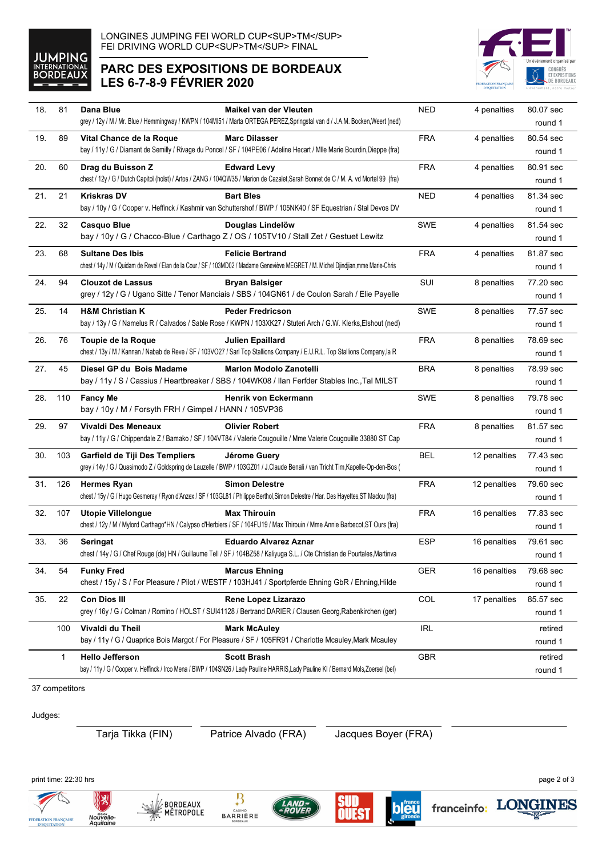

## **PARC DES EXPOSITIONS DE BORDEAUX LES 6-7-8-9 FÉVRIER 2020**



| 18. | 81  | Dana Blue                                             | <b>Maikel van der Vleuten</b><br>grey / 12y / M / Mr. Blue / Hemmingway / KWPN / 104MI51 / Marta ORTEGA PEREZ, Springstal van d / J.A.M. Bocken, Weert (ned)  | NED        | 4 penalties  | 80.07 sec<br>round 1 |
|-----|-----|-------------------------------------------------------|---------------------------------------------------------------------------------------------------------------------------------------------------------------|------------|--------------|----------------------|
| 19. | 89  | Vital Chance de la Roque                              | <b>Marc Dilasser</b>                                                                                                                                          | <b>FRA</b> | 4 penalties  | 80.54 sec            |
|     |     |                                                       | bay / 11y / G / Diamant de Semilly / Rivage du Poncel / SF / 104PE06 / Adeline Hecart / Mlle Marie Bourdin, Dieppe (fra)                                      |            |              | round 1              |
| 20. | 60  | Drag du Buisson Z                                     | <b>Edward Levy</b>                                                                                                                                            | <b>FRA</b> | 4 penalties  | 80.91 sec            |
|     |     |                                                       | chest / 12y / G / Dutch Capitol (holst) / Artos / ZANG / 104QW35 / Marion de Cazalet, Sarah Bonnet de C / M. A. vd Mortel 99 (fra)                            |            |              | round 1              |
| 21. | 21  | <b>Kriskras DV</b>                                    | <b>Bart Bles</b>                                                                                                                                              | <b>NED</b> | 4 penalties  | 81.34 sec            |
|     |     |                                                       | bay / 10y / G / Cooper v. Heffinck / Kashmir van Schuttershof / BWP / 105NK40 / SF Equestrian / Stal Devos DV                                                 |            |              | round 1              |
| 22. | 32  |                                                       | Douglas Lindelöw                                                                                                                                              | SWE        | 4 penalties  | 81.54 sec            |
|     |     | Casquo Blue                                           | bay / 10y / G / Chacco-Blue / Carthago Z / OS / 105TV10 / Stall Zet / Gestuet Lewitz                                                                          |            |              | round 1              |
|     |     |                                                       |                                                                                                                                                               |            |              |                      |
| 23. | 68  | <b>Sultane Des Ibis</b>                               | <b>Felicie Bertrand</b><br>chest / 14y / M / Quidam de Revel / Elan de la Cour / SF / 103MD02 / Madame Geneviève MEGRET / M. Michel Djindjian,mme Marie-Chris | <b>FRA</b> | 4 penalties  | 81.87 sec            |
|     |     |                                                       |                                                                                                                                                               |            |              | round 1              |
| 24. | 94  | <b>Clouzot de Lassus</b>                              | <b>Bryan Balsiger</b><br>grey / 12y / G / Ugano Sitte / Tenor Manciais / SBS / 104GN61 / de Coulon Sarah / Elie Payelle                                       | SUI        | 8 penalties  | 77.20 sec            |
|     |     |                                                       |                                                                                                                                                               |            |              | round 1              |
| 25. | 14  | <b>H&amp;M Christian K</b>                            | <b>Peder Fredricson</b><br>bay / 13y / G / Namelus R / Calvados / Sable Rose / KWPN / 103XK27 / Stuteri Arch / G.W. Klerks, Elshout (ned)                     | <b>SWE</b> | 8 penalties  | 77.57 sec            |
|     |     |                                                       |                                                                                                                                                               |            |              | round 1              |
| 26. | 76  | Toupie de la Roque                                    | Julien Epaillard                                                                                                                                              | <b>FRA</b> | 8 penalties  | 78.69 sec            |
|     |     |                                                       | chest / 13y / M / Kannan / Nabab de Reve / SF / 103VO27 / Sarl Top Stallions Company / E.U.R.L. Top Stallions Company, la R                                   |            |              | round 1              |
| 27. | 45  | Diesel GP du Bois Madame                              | <b>Marlon Modolo Zanotelli</b>                                                                                                                                | <b>BRA</b> | 8 penalties  | 78.99 sec            |
|     |     |                                                       | bay / 11y / S / Cassius / Heartbreaker / SBS / 104WK08 / Ilan Ferfder Stables Inc., Tal MILST                                                                 |            |              | round 1              |
| 28. | 110 | <b>Fancy Me</b>                                       | Henrik von Eckermann                                                                                                                                          | <b>SWE</b> | 8 penalties  | 79.78 sec            |
|     |     | bay / 10y / M / Forsyth FRH / Gimpel / HANN / 105VP36 |                                                                                                                                                               |            |              | round 1              |
| 29. | 97  | Vivaldi Des Meneaux                                   | <b>Olivier Robert</b>                                                                                                                                         | <b>FRA</b> | 8 penalties  | 81.57 sec            |
|     |     |                                                       | bay / 11y / G / Chippendale Z / Bamako / SF / 104VT84 / Valerie Cougouille / Mme Valerie Cougouille 33880 ST Cap                                              |            |              | round 1              |
| 30. | 103 | Garfield de Tiji Des Templiers                        | Jérome Guery                                                                                                                                                  | <b>BEL</b> | 12 penalties | 77.43 sec            |
|     |     |                                                       | grey / 14y / G / Quasimodo Z / Goldspring de Lauzelle / BWP / 103GZ01 / J.Claude Benali / van Tricht Tim, Kapelle-Op-den-Bos (                                |            |              | round 1              |
| 31. | 126 | <b>Hermes Ryan</b>                                    | <b>Simon Delestre</b>                                                                                                                                         | <b>FRA</b> | 12 penalties | 79.60 sec            |
|     |     |                                                       | chest / 15y / G / Hugo Gesmeray / Ryon d'Anzex / SF / 103GL81 / Philippe Berthol, Simon Delestre / Har. Des Hayettes, ST Maclou (fra)                         |            |              | round 1              |
| 32. | 107 | <b>Utopie Villelongue</b>                             | <b>Max Thirouin</b>                                                                                                                                           | <b>FRA</b> | 16 penalties | 77.83 sec            |
|     |     |                                                       | chest / 12y / M / Mylord Carthago*HN / Calypso d'Herbiers / SF / 104FU19 / Max Thirouin / Mme Annie Barbecot,ST Ours (fra)                                    |            |              | round 1              |
| 33. | 36  | Seringat                                              | <b>Eduardo Alvarez Aznar</b>                                                                                                                                  | <b>ESP</b> | 16 penalties | 79.61 sec            |
|     |     |                                                       | chest / 14y / G / Chef Rouge (de) HN / Guillaume Tell / SF / 104BZ58 / Kaliyuga S.L. / Cte Christian de Pourtales, Martinva                                   |            |              | round 1              |
| 34. | 54  | <b>Funky Fred</b>                                     | <b>Marcus Ehning</b>                                                                                                                                          | <b>GER</b> | 16 penalties | 79.68 sec            |
|     |     |                                                       | chest / 15y / S / For Pleasure / Pilot / WESTF / 103HJ41 / Sportpferde Ehning GbR / Ehning, Hilde                                                             |            |              | round 1              |
| 35. | 22  | <b>Con Dios III</b>                                   | Rene Lopez Lizarazo                                                                                                                                           | COL        | 17 penalties | 85.57 sec            |
|     |     |                                                       | grey / 16y / G / Colman / Romino / HOLST / SUI41128 / Bertrand DARIER / Clausen Georg, Rabenkirchen (ger)                                                     |            |              | round 1              |
|     | 100 | Vivaldi du Theil                                      | <b>Mark McAuley</b>                                                                                                                                           | <b>IRL</b> |              | retired              |
|     |     |                                                       | bay / 11y / G / Quaprice Bois Margot / For Pleasure / SF / 105FR91 / Charlotte Mcauley, Mark Mcauley                                                          |            |              | round 1              |
|     | 1   | <b>Hello Jefferson</b>                                | <b>Scott Brash</b>                                                                                                                                            | <b>GBR</b> |              | retired              |
|     |     |                                                       | bay / 11y / G / Cooper v. Heffinck / Irco Mena / BWP / 104SN26 / Lady Pauline HARRIS, Lady Pauline KI / Bernard Mols, Zoersel (bel)                           |            |              | round 1              |

37 competitors

Judges:

 $\overline{B}$ 

Tarja Tikka (FIN) Patrice Alvado (FRA) Jacques Boyer (FRA)

print time: 22:30 hrs page 2 of 3